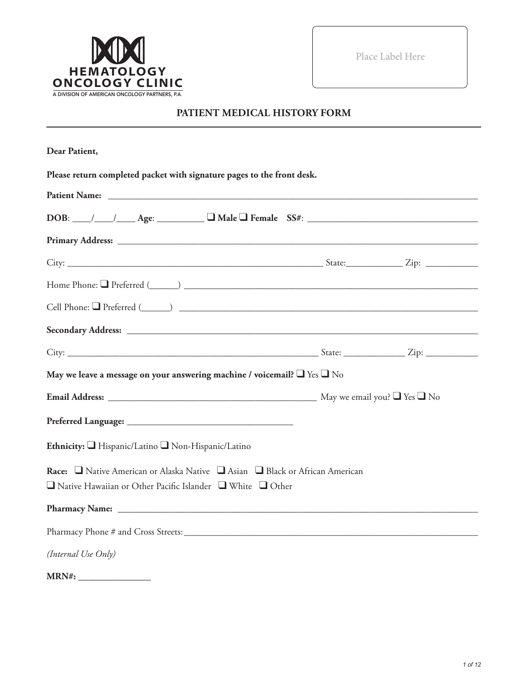

Place Label Here

# **PATIENT MEDICAL HISTORY FORM**

| Dear Patient,                                                                                                                                              |  |
|------------------------------------------------------------------------------------------------------------------------------------------------------------|--|
| Please return completed packet with signature pages to the front desk.                                                                                     |  |
|                                                                                                                                                            |  |
| $DOB:$ $\_\_\_\_\_\_\_\_\_\_\_\_\_\_\_\_$ Age: $\_\_\_\_\_\_\_\_\_\_\_\_\_\_\_\_\_\_$ Female $SS#:$ $\_\_\_\_\_\_\_\_\_\_\_\_\_\_\_\_\_\_\_\_\_$           |  |
| Primary Address: No. 2014. The Contract of the Contract of the Contract of the Contract of the Contract of the                                             |  |
|                                                                                                                                                            |  |
|                                                                                                                                                            |  |
|                                                                                                                                                            |  |
|                                                                                                                                                            |  |
|                                                                                                                                                            |  |
| May we leave a message on your answering machine / voicemail? $\Box$ Yes $\Box$ No                                                                         |  |
|                                                                                                                                                            |  |
|                                                                                                                                                            |  |
| Ethnicity: Hispanic/Latino Non-Hispanic/Latino                                                                                                             |  |
| Race: □ Native American or Alaska Native □ Asian □ Black or African American<br>$\Box$ Native Hawaiian or Other Pacific Islander $\Box$ White $\Box$ Other |  |
|                                                                                                                                                            |  |
|                                                                                                                                                            |  |
| (Internal Use Only)                                                                                                                                        |  |
| $\sim$ 1000 $\sim$ 1000 $\sim$ 1000 $\sim$                                                                                                                 |  |

| <b>MRN#:</b> |  |
|--------------|--|
|              |  |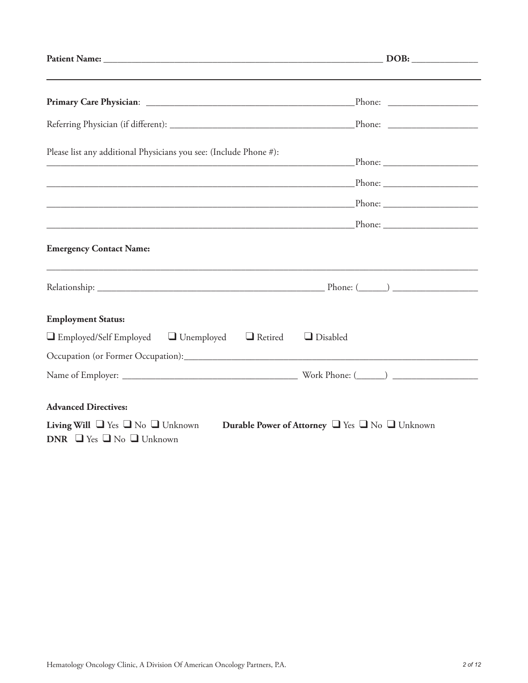| Please list any additional Physicians you see: (Include Phone #):                                                                                 |  |
|---------------------------------------------------------------------------------------------------------------------------------------------------|--|
|                                                                                                                                                   |  |
|                                                                                                                                                   |  |
|                                                                                                                                                   |  |
| <b>Emergency Contact Name:</b>                                                                                                                    |  |
|                                                                                                                                                   |  |
| <b>Employment Status:</b>                                                                                                                         |  |
| $\Box$ Employed/Self Employed $\Box$ Unemployed $\Box$ Retired<br>$\Box$ Disabled                                                                 |  |
|                                                                                                                                                   |  |
|                                                                                                                                                   |  |
| <b>Advanced Directives:</b>                                                                                                                       |  |
| <b>Living Will</b> $\Box$ Yes $\Box$ No $\Box$ Unknown<br>Durable Power of Attorney U Yes U No Unknown<br>DNR $\Box$ Yes $\Box$ No $\Box$ Unknown |  |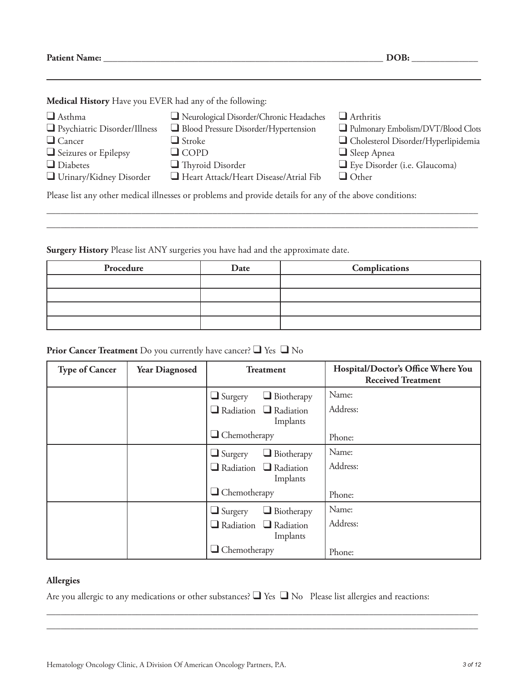**Patient Name: \_\_\_\_\_\_\_\_\_\_\_\_\_\_\_\_\_\_\_\_\_\_\_\_\_\_\_\_\_\_\_\_\_\_\_\_\_\_\_\_\_\_\_\_\_\_\_\_\_\_\_\_\_\_\_\_\_\_\_ DOB: \_\_\_\_\_\_\_\_\_\_\_\_\_\_**

**Medical History** Have you EVER had any of the following:

| $\Box$ Asthma                                                                                            | Neurological Disorder/Chronic Headaches | $\Box$ Arthritis                    |  |
|----------------------------------------------------------------------------------------------------------|-----------------------------------------|-------------------------------------|--|
| $\Box$ Psychiatric Disorder/Illness                                                                      | Blood Pressure Disorder/Hypertension    | Pulmonary Embolism/DVT/Blood Clots  |  |
| $\Box$ Cancer                                                                                            | $\Box$ Stroke                           | Cholesterol Disorder/Hyperlipidemia |  |
| $\Box$ Seizures or Epilepsy                                                                              | $\Box$ COPD                             | $\Box$ Sleep Apnea                  |  |
| $\Box$ Diabetes                                                                                          | $\Box$ Thyroid Disorder                 | Eye Disorder (i.e. Glaucoma)        |  |
| $\Box$ Urinary/Kidney Disorder                                                                           | Heart Attack/Heart Disease/Atrial Fib   | $\Box$ Other                        |  |
| Please list any other medical illnesses or problems and provide details for any of the above conditions: |                                         |                                     |  |

\_\_\_\_\_\_\_\_\_\_\_\_\_\_\_\_\_\_\_\_\_\_\_\_\_\_\_\_\_\_\_\_\_\_\_\_\_\_\_\_\_\_\_\_\_\_\_\_\_\_\_\_\_\_\_\_\_\_\_\_\_\_\_\_\_\_\_\_\_\_\_\_\_\_\_\_\_\_\_\_\_\_\_\_\_\_\_\_\_\_\_ \_\_\_\_\_\_\_\_\_\_\_\_\_\_\_\_\_\_\_\_\_\_\_\_\_\_\_\_\_\_\_\_\_\_\_\_\_\_\_\_\_\_\_\_\_\_\_\_\_\_\_\_\_\_\_\_\_\_\_\_\_\_\_\_\_\_\_\_\_\_\_\_\_\_\_\_\_\_\_\_\_\_\_\_\_\_\_\_\_\_\_

**Surgery History** Please list ANY surgeries you have had and the approximate date.

| Procedure | Date | Complications |
|-----------|------|---------------|
|           |      |               |
|           |      |               |
|           |      |               |
|           |      |               |

## **Prior Cancer Treatment** Do you currently have cancer? ❑ Yes ❑ No

| <b>Type of Cancer</b> | <b>Year Diagnosed</b> | <b>Treatment</b>                              | Hospital/Doctor's Office Where You<br><b>Received Treatment</b> |
|-----------------------|-----------------------|-----------------------------------------------|-----------------------------------------------------------------|
|                       |                       | $\Box$ Biotherapy<br>$\Box$ Surgery           | Name:                                                           |
|                       |                       | $\Box$ Radiation $\Box$ Radiation<br>Implants | Address:                                                        |
|                       |                       | $\Box$ Chemotherapy                           | Phone:                                                          |
|                       |                       | $\Box$ Biotherapy<br>$\Box$ Surgery           | Name:                                                           |
|                       |                       | $\Box$ Radiation $\Box$ Radiation<br>Implants | Address:                                                        |
|                       |                       | $\Box$ Chemotherapy                           | Phone:                                                          |
|                       |                       | $\Box$ Biotherapy<br>$\Box$ Surgery           | Name:                                                           |
|                       |                       | $\Box$ Radiation $\Box$ Radiation<br>Implants | Address:                                                        |
|                       |                       | $\Box$ Chemotherapy                           | Phone:                                                          |

#### **Allergies**

Are you allergic to any medications or other substances? ■ Yes ■ No Please list allergies and reactions:

\_\_\_\_\_\_\_\_\_\_\_\_\_\_\_\_\_\_\_\_\_\_\_\_\_\_\_\_\_\_\_\_\_\_\_\_\_\_\_\_\_\_\_\_\_\_\_\_\_\_\_\_\_\_\_\_\_\_\_\_\_\_\_\_\_\_\_\_\_\_\_\_\_\_\_\_\_\_\_\_\_\_\_\_\_\_\_\_\_\_\_ \_\_\_\_\_\_\_\_\_\_\_\_\_\_\_\_\_\_\_\_\_\_\_\_\_\_\_\_\_\_\_\_\_\_\_\_\_\_\_\_\_\_\_\_\_\_\_\_\_\_\_\_\_\_\_\_\_\_\_\_\_\_\_\_\_\_\_\_\_\_\_\_\_\_\_\_\_\_\_\_\_\_\_\_\_\_\_\_\_\_\_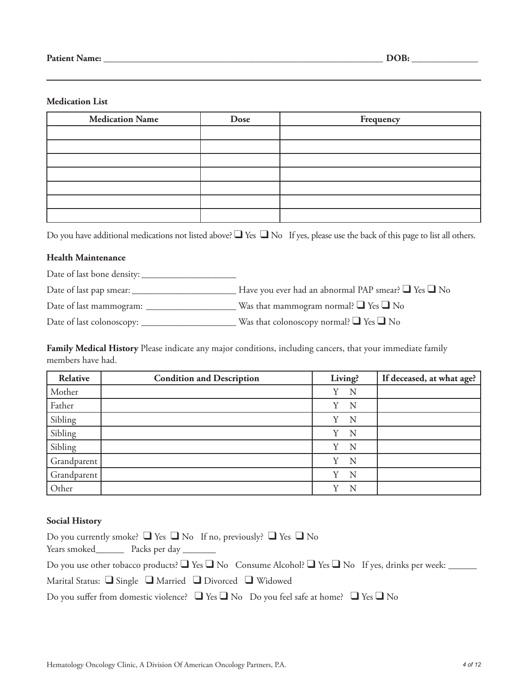#### **Medication List**

| <b>Medication Name</b> | Dose | Frequency |
|------------------------|------|-----------|
|                        |      |           |
|                        |      |           |
|                        |      |           |
|                        |      |           |
|                        |      |           |
|                        |      |           |
|                        |      |           |

Do you have additional medications not listed above? ■ Yes ■ No If yes, please use the back of this page to list all others.

#### **Health Maintenance**

Date of last bone density: \_\_\_\_\_\_\_\_\_\_\_\_\_\_\_\_\_\_\_\_

Date of last pap smear: \_\_\_\_\_\_\_\_\_\_\_\_\_\_\_\_\_\_\_\_\_\_ Have you ever had an abnormal PAP smear? ❑ Yes ❑ No

Date of last mammogram: \_\_\_\_\_\_\_\_\_\_\_\_\_\_\_\_\_\_\_ Was that mammogram normal? ❑ Yes ❑ No

Date of last colonoscopy: \_\_\_\_\_\_\_\_\_\_\_\_\_\_\_\_\_\_\_\_ Was that colonoscopy normal? ❑ Yes ❑ No

**Family Medical History** Please indicate any major conditions, including cancers, that your immediate family members have had.

| Relative    | <b>Condition and Description</b> | Living? | If deceased, at what age? |
|-------------|----------------------------------|---------|---------------------------|
| Mother      |                                  | N<br>Y  |                           |
| Father      |                                  | Y<br>N  |                           |
| Sibling     |                                  | Y<br>N  |                           |
| Sibling     |                                  | Y<br>N  |                           |
| Sibling     |                                  | N<br>Y  |                           |
| Grandparent |                                  | N<br>Y  |                           |
| Grandparent |                                  | N<br>Y  |                           |
| Other       |                                  | v<br>N  |                           |

#### **Social History**

| Do you currently smoke? $\Box$ Yes $\Box$ No If no, previously? $\Box$ Yes $\Box$ No                                                                                                                                          |
|-------------------------------------------------------------------------------------------------------------------------------------------------------------------------------------------------------------------------------|
| Years smoked New Packs per day New Years smoked New Years smoked New Years smoked New Years smoked New Years smoked New Years smoked New Years smoked New Years smoked New Years smoked New Years smoked New Years smoked New |
| Do you use other tobacco products? $\Box$ Yes $\Box$ No Consume Alcohol? $\Box$ Yes $\Box$ No If yes, drinks per week:                                                                                                        |
| Marital Status: $\Box$ Single $\Box$ Married $\Box$ Divorced $\Box$ Widowed                                                                                                                                                   |
| Do you suffer from domestic violence? $\Box$ Yes $\Box$ No Do you feel safe at home? $\Box$ Yes $\Box$ No                                                                                                                     |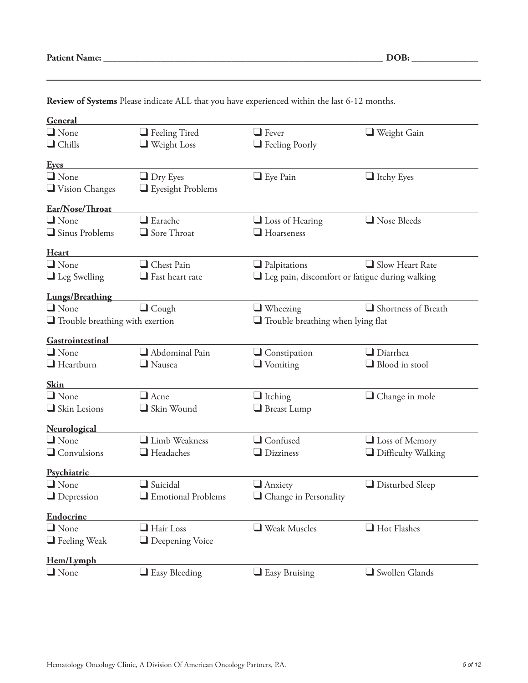| <b>Patient Name:</b> |  |
|----------------------|--|
|----------------------|--|

| General                                |                                            |                                                          |                       |
|----------------------------------------|--------------------------------------------|----------------------------------------------------------|-----------------------|
| $\Box$ None                            | $\Box$ Feeling Tired                       | $\Box$ Fever                                             | $\Box$ Weight Gain    |
| $\Box$ Chills                          | $\Box$ Weight Loss                         | <b>Example 3</b> Feeling Poorly                          |                       |
| <u>Eyes</u>                            |                                            |                                                          |                       |
| $\Box$ None                            | $\Box$ Dry Eyes                            | $\Box$ Eye Pain                                          | $\Box$ Itchy Eyes     |
| $\Box$ Vision Changes                  | $\Box$ Eyesight Problems                   |                                                          |                       |
| Ear/Nose/Throat                        |                                            |                                                          |                       |
| $\Box$ None                            | $\square$ Earache                          | $\Box$ Loss of Hearing                                   | Nose Bleeds           |
| $\Box$ Sinus Problems                  | $\Box$ Sore Throat                         | $\square$ Hoarseness                                     |                       |
| <b>Heart</b>                           |                                            |                                                          |                       |
| $\Box$ None                            | Chest Pain                                 | $\Box$ Palpitations                                      | Slow Heart Rate       |
| $\Box$ Leg Swelling                    | $\Box$ Fast heart rate                     | $\square$ Leg pain, discomfort or fatigue during walking |                       |
| <b>Lungs/Breathing</b>                 |                                            |                                                          |                       |
| $\Box$ None                            | $\Box$ Cough                               | $\Box$ Wheezing                                          | Shortness of Breath   |
| $\Box$ Trouble breathing with exertion |                                            | $\Box$ Trouble breathing when lying flat                 |                       |
| Gastrointestinal                       |                                            |                                                          |                       |
| $\Box$ None                            | $\Box$ Abdominal Pain                      | $\Box$ Constipation                                      | $\Box$ Diarrhea       |
| $\Box$ Heartburn                       | $\Box$ Nausea                              | $\Box$ Vomiting                                          | $\Box$ Blood in stool |
| <b>Skin</b>                            |                                            |                                                          |                       |
| $\Box$ None                            | $\Box$ Acne                                | $\Box$ Itching                                           | $\Box$ Change in mole |
| $\Box$ Skin Lesions                    | Skin Wound                                 | Breast Lump                                              |                       |
| Neurological                           |                                            |                                                          |                       |
| $\Box$ None                            | Limb Weakness                              | $\Box$ Confused                                          | $\Box$ Loss of Memory |
| $\Box$ Convulsions                     | $\Box$ Headaches                           | $\Box$ Dizziness                                         | Difficulty Walking    |
| Psychiatric                            |                                            |                                                          |                       |
| $\Box$ None                            | $\Box$ Suicidal                            | $\Box$ Anxiety                                           | Disturbed Sleep       |
| $\Box$ Depression                      | $\hfill\blacksquare$<br>Emotional Problems | $\Box$ Change in Personality                             |                       |
| Endocrine                              |                                            |                                                          |                       |
| $\Box$ None                            | $\Box$ Hair Loss                           | $\Box$ Weak Muscles                                      | Hot Flashes           |
| $\Box$ Feeling Weak                    | Deepening Voice                            |                                                          |                       |
| Hem/Lymph                              |                                            |                                                          |                       |
| $\Box$ None                            | $\Box$ Easy Bleeding                       | $\Box$ Easy Bruising                                     | Swollen Glands        |

**Review of Systems** Please indicate ALL that you have experienced within the last 6-12 months.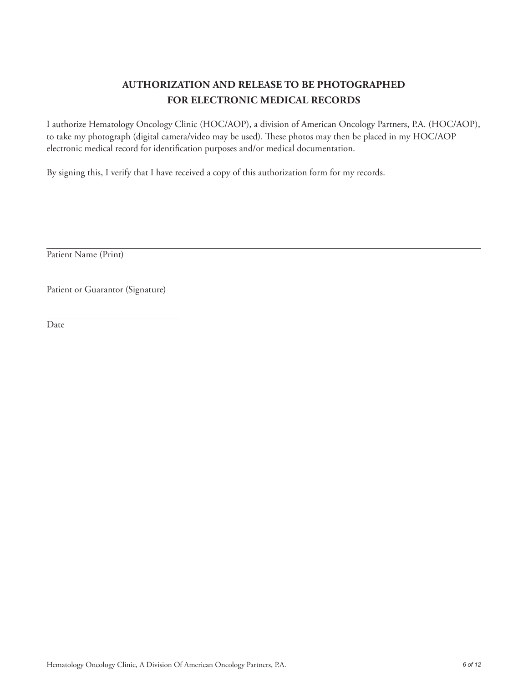# **AUTHORIZATION AND RELEASE TO BE PHOTOGRAPHED FOR ELECTRONIC MEDICAL RECORDS**

I authorize Hematology Oncology Clinic (HOC/AOP), a division of American Oncology Partners, P.A. (HOC/AOP), to take my photograph (digital camera/video may be used). These photos may then be placed in my HOC/AOP electronic medical record for identification purposes and/or medical documentation.

By signing this, I verify that I have received a copy of this authorization form for my records.

Patient Name (Print)

Patient or Guarantor (Signature)

Date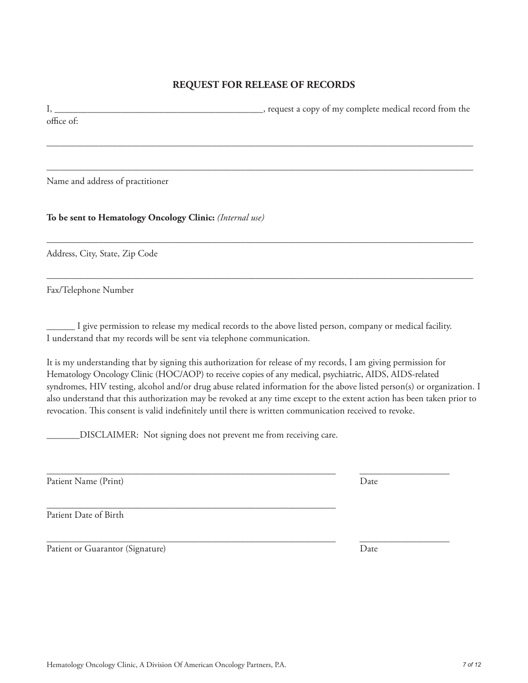# **REQUEST FOR RELEASE OF RECORDS**

I, \_\_\_\_\_\_\_\_\_\_\_\_\_\_\_\_\_\_\_\_\_\_\_\_\_\_\_\_\_\_\_\_\_\_\_\_\_\_\_\_\_\_\_\_, request a copy of my complete medical record from the office of:

––––––––––––––––––––––––––––––––––––––––––––––––––––––––––––––––––––––––––––––––––––––––––

––––––––––––––––––––––––––––––––––––––––––––––––––––––––––––––––––––––––––––––––––––––––––

––––––––––––––––––––––––––––––––––––––––––––––––––––––––––––––––––––––––––––––––––––––––––

––––––––––––––––––––––––––––––––––––––––––––––––––––––––––––––––––––––––––––––––––––––––––

Name and address of practitioner

**To be sent to Hematology Oncology Clinic:** *(Internal use)*

Address, City, State, Zip Code

Fax/Telephone Number

\_\_\_\_\_\_ I give permission to release my medical records to the above listed person, company or medical facility. I understand that my records will be sent via telephone communication.

\_\_\_\_\_\_\_\_\_\_\_\_\_\_\_\_\_\_\_\_\_\_\_\_\_\_\_\_\_\_\_\_\_\_\_\_\_\_\_\_\_\_\_\_\_\_\_\_\_\_\_\_\_\_\_\_\_\_\_\_\_ \_\_\_\_\_\_\_\_\_\_\_\_\_\_\_\_\_\_\_

It is my understanding that by signing this authorization for release of my records, I am giving permission for Hematology Oncology Clinic (HOC/AOP) to receive copies of any medical, psychiatric, AIDS, AIDS-related syndromes, HIV testing, alcohol and/or drug abuse related information for the above listed person(s) or organization. I also understand that this authorization may be revoked at any time except to the extent action has been taken prior to revocation. This consent is valid indefinitely until there is written communication received to revoke.

\_\_\_\_\_\_\_DISCLAIMER: Not signing does not prevent me from receiving care.

Patient Name (Print) Date

\_\_\_\_\_\_\_\_\_\_\_\_\_\_\_\_\_\_\_\_\_\_\_\_\_\_\_\_\_\_\_\_\_\_\_\_\_\_\_\_\_\_\_\_\_\_\_\_\_\_\_\_\_\_\_\_\_\_\_\_\_ Patient Date of Birth

Patient or Guarantor (Signature) Date

\_\_\_\_\_\_\_\_\_\_\_\_\_\_\_\_\_\_\_\_\_\_\_\_\_\_\_\_\_\_\_\_\_\_\_\_\_\_\_\_\_\_\_\_\_\_\_\_\_\_\_\_\_\_\_\_\_\_\_\_\_ \_\_\_\_\_\_\_\_\_\_\_\_\_\_\_\_\_\_\_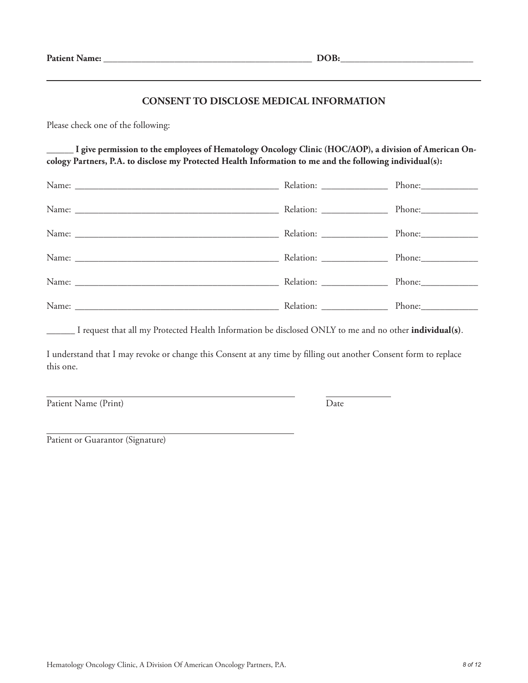#### **CONSENT TO DISCLOSE MEDICAL INFORMATION**

Please check one of the following:

I give permission to the employees of Hematology Oncology Clinic (HOC/AOP), a division of American On**cology Partners, P.A. to disclose my Protected Health Information to me and the following individual(s):**

| Relation: _______________ |            |
|---------------------------|------------|
|                           | Phone:     |
|                           |            |
|                           |            |
|                           |            |
|                           | $Phone:\_$ |

\_\_\_\_\_\_ I request that all my Protected Health Information be disclosed ONLY to me and no other **individual(s)**.

I understand that I may revoke or change this Consent at any time by filling out another Consent form to replace this one.

Patient Name (Print) Date

Patient or Guarantor (Signature)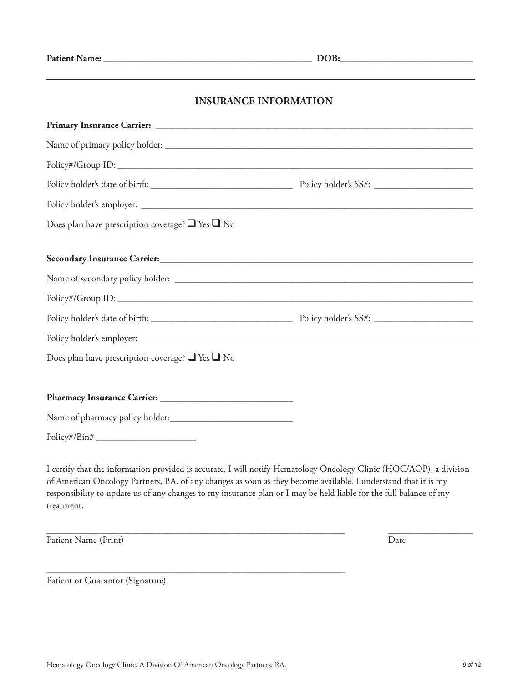## **INSURANCE INFORMATION**

| Does plan have prescription coverage? $\Box$ Yes $\Box$ No |  |
|------------------------------------------------------------|--|
|                                                            |  |
|                                                            |  |
|                                                            |  |
|                                                            |  |
|                                                            |  |
|                                                            |  |
| Does plan have prescription coverage? $\Box$ Yes $\Box$ No |  |
|                                                            |  |
|                                                            |  |
|                                                            |  |
|                                                            |  |

I certify that the information provided is accurate. I will notify Hematology Oncology Clinic (HOC/AOP), a division of American Oncology Partners, P.A. of any changes as soon as they become available. I understand that it is my responsibility to update us of any changes to my insurance plan or I may be held liable for the full balance of my treatment.

\_\_\_\_\_\_\_\_\_\_\_\_\_\_\_\_\_\_\_\_\_\_\_\_\_\_\_\_\_\_\_\_\_\_\_\_\_\_\_\_\_\_\_\_\_\_\_\_\_\_\_\_\_\_\_\_\_\_\_\_\_\_\_ \_\_\_\_\_\_\_\_\_\_\_\_\_\_\_\_\_\_

Patient Name (Print) Date

Patient or Guarantor (Signature)

\_\_\_\_\_\_\_\_\_\_\_\_\_\_\_\_\_\_\_\_\_\_\_\_\_\_\_\_\_\_\_\_\_\_\_\_\_\_\_\_\_\_\_\_\_\_\_\_\_\_\_\_\_\_\_\_\_\_\_\_\_\_\_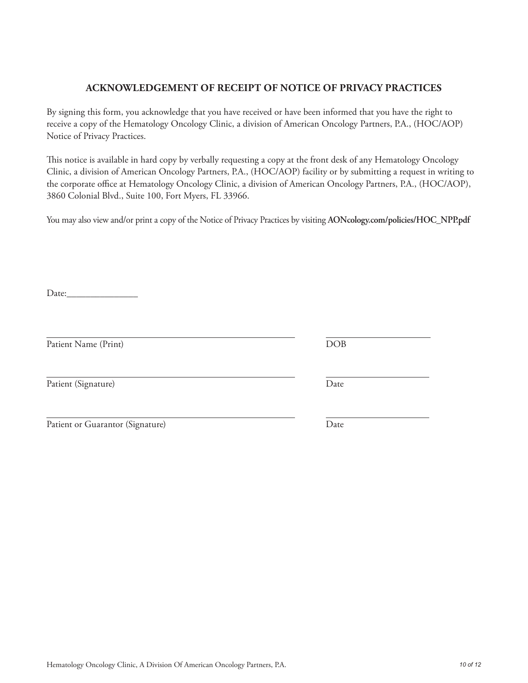# Hematology Oncology Clinic, A Division Of American Oncology Partners, P.A. *10 of 12*

## **ACKNOWLEDGEMENT OF RECEIPT OF NOTICE OF PRIVACY PRACTICES**

By signing this form, you acknowledge that you have received or have been informed that you have the right to receive a copy of the Hematology Oncology Clinic, a division of American Oncology Partners, P.A., (HOC/AOP) Notice of Privacy Practices.

This notice is available in hard copy by verbally requesting a copy at the front desk of any Hematology Oncology Clinic, a division of American Oncology Partners, P.A., (HOC/AOP) facility or by submitting a request in writing to the corporate office at Hematology Oncology Clinic, a division of American Oncology Partners, P.A., (HOC/AOP), 3860 Colonial Blvd., Suite 100, Fort Myers, FL 33966.

You may also view and/or print a copy of the Notice of Privacy Practices by visiting **AONcology.com/policies/HOC\_NPP.pdf**

Date:

Patient Name (Print) DOB

Patient (Signature) Date

| Patient or Guarantor (Signature) | Date |
|----------------------------------|------|
|                                  |      |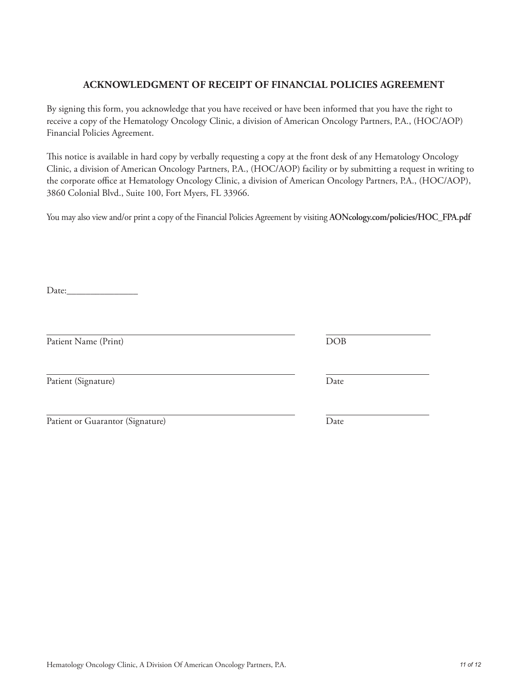# Hematology Oncology Clinic, A Division Of American Oncology Partners, P.A. *11 of 12*

# **ACKNOWLEDGMENT OF RECEIPT OF FINANCIAL POLICIES AGREEMENT**

By signing this form, you acknowledge that you have received or have been informed that you have the right to receive a copy of the Hematology Oncology Clinic, a division of American Oncology Partners, P.A., (HOC/AOP) Financial Policies Agreement.

This notice is available in hard copy by verbally requesting a copy at the front desk of any Hematology Oncology Clinic, a division of American Oncology Partners, P.A., (HOC/AOP) facility or by submitting a request in writing to the corporate office at Hematology Oncology Clinic, a division of American Oncology Partners, P.A., (HOC/AOP), 3860 Colonial Blvd., Suite 100, Fort Myers, FL 33966.

You may also view and/or print a copy of the Financial Policies Agreement by visiting **AONcology.com/policies/HOC\_FPA.pdf**

Date:

Patient Name (Print) DOB

Patient (Signature) Date

Patient or Guarantor (Signature) Date